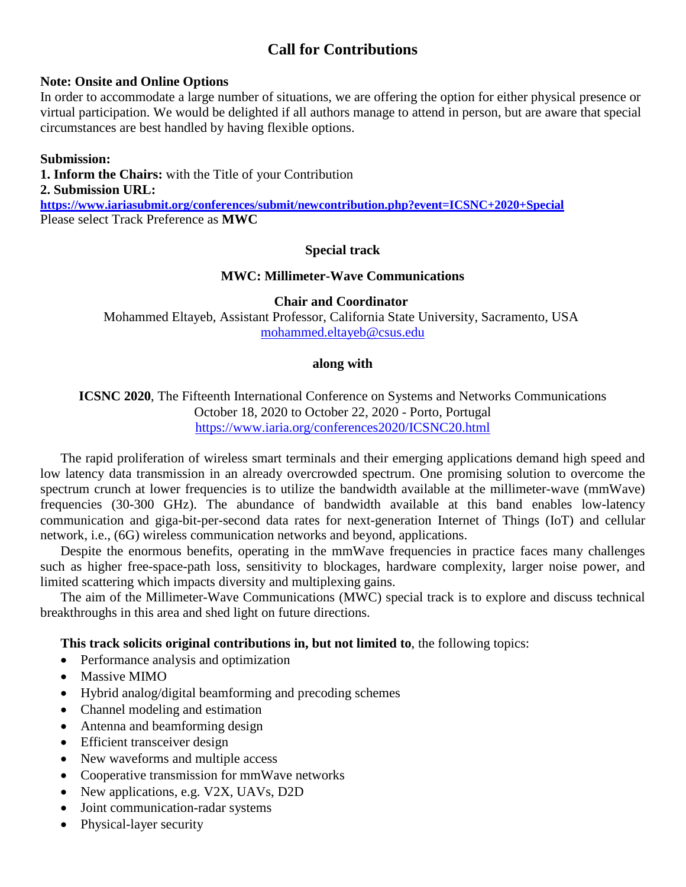# **Call for Contributions**

### **Note: Onsite and Online Options**

In order to accommodate a large number of situations, we are offering the option for either physical presence or virtual participation. We would be delighted if all authors manage to attend in person, but are aware that special circumstances are best handled by having flexible options.

### **Submission:**

**1. Inform the Chairs:** with the Title of your Contribution **2. Submission URL: <https://www.iariasubmit.org/conferences/submit/newcontribution.php?event=ICSNC+2020+Special>** Please select Track Preference as **MWC**

## **Special track**

#### **MWC: Millimeter-Wave Communications**

**Chair and Coordinator** Mohammed Eltayeb, Assistant Professor, California State University, Sacramento, USA [mohammed.eltayeb@csus.edu](mailto:mohammed.eltayeb@csus.edu)

## **along with**

**ICSNC 2020**, The Fifteenth International Conference on Systems and Networks Communications October 18, 2020 to October 22, 2020 - Porto, Portugal <https://www.iaria.org/conferences2020/ICSNC20.html>

The rapid proliferation of wireless smart terminals and their emerging applications demand high speed and low latency data transmission in an already overcrowded spectrum. One promising solution to overcome the spectrum crunch at lower frequencies is to utilize the bandwidth available at the millimeter-wave (mmWave) frequencies (30-300 GHz). The abundance of bandwidth available at this band enables low-latency communication and giga-bit-per-second data rates for next-generation Internet of Things (IoT) and cellular network, i.e., (6G) wireless communication networks and beyond, applications.

Despite the enormous benefits, operating in the mmWave frequencies in practice faces many challenges such as higher free-space-path loss, sensitivity to blockages, hardware complexity, larger noise power, and limited scattering which impacts diversity and multiplexing gains.

The aim of the Millimeter-Wave Communications (MWC) special track is to explore and discuss technical breakthroughs in this area and shed light on future directions.

**This track solicits original contributions in, but not limited to**, the following topics:

- Performance analysis and optimization
- Massive MIMO
- Hybrid analog/digital beamforming and precoding schemes
- Channel modeling and estimation
- Antenna and beamforming design
- Efficient transceiver design
- New waveforms and multiple access
- Cooperative transmission for mmWave networks
- New applications, e.g. V2X, UAVs, D2D
- Joint communication-radar systems
- Physical-layer security